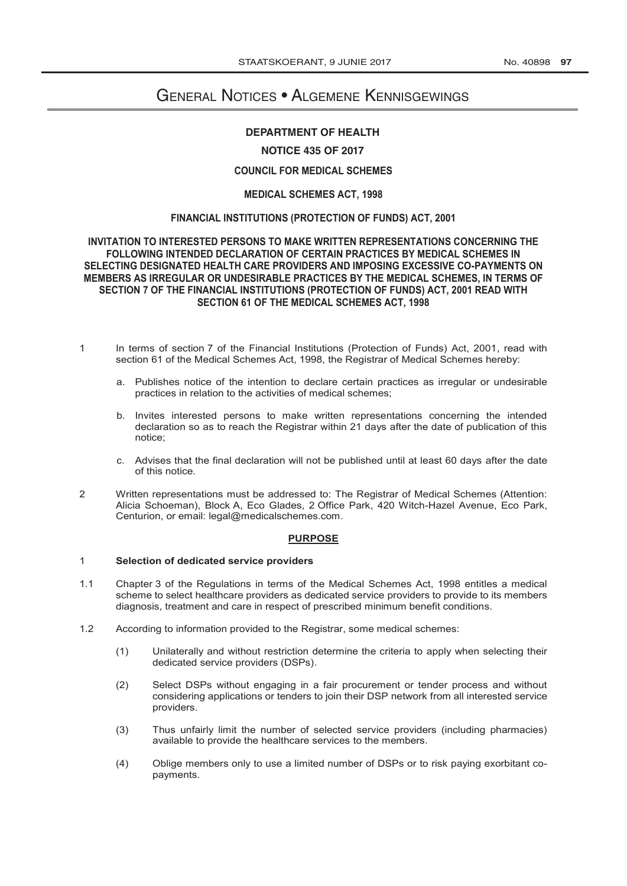# General Notices • Algemene Kennisgewings

#### **[DEPARTMENT OF HEALTH](http://www.greengazette.co.za/departments/health) [DEPARTMENT OF HEALTH](http://www.greengazette.co.za/departments/health)**

## **NOTICE 435 OF 2017**

## **COUNCIL FOR MEDICAL SCHEMES**

## **[MEDICAL SCHEMES ACT,](http://www.greengazette.co.za/acts/medical-schemes-act_1967-072) 1998**

### **FINANCIAL INSTITUTIONS (PROTECTION OF FUNDS) ACT, 2001**

#### **INVITATION TO INTERESTED PERSONS TO MAKE WRITTEN REPRESENTATIONS CONCERNING THE FOLLOWING INTENDED DECLARATION OF CERTAIN PRACTICES BY MEDICAL SCHEMES IN SELECTING DESIGNATED HEALTH CARE PROVIDERS AND IMPOSING EXCESSIVE CO-PAYMENTS ON MEMBERS AS IRREGULAR OR UNDESIRABLE PRACTICES BY THE MEDICAL SCHEMES, IN TERMS OF SECTION 7 OF THE FINANCIAL INSTITUTIONS (PROTECTION OF FUNDS) ACT, 2001 READ WITH SECTION 61 OF THE [MEDICAL SCHEMES ACT,](http://www.greengazette.co.za/acts/medical-schemes-act_1967-072) 1998**

- 1 In terms of section 7 of the Financial Institutions (Protection of Funds) Act, 2001, read with section 61 of the [Medical Schemes Act,](http://www.greengazette.co.za/acts/medical-schemes-act_1967-072) 1998, the Registrar of Medical Schemes hereby:
	- a. Publishes notice of the intention to declare certain practices as irregular or undesirable practices in relation to the activities of medical schemes;
	- b. Invites interested persons to make written representations concerning the intended declaration so as to reach the Registrar within 21 days after the date of publication of this notice;
	- c. Advises that the final declaration will not be published until at least 60 days after the date of this notice.
- 2 Written representations must be addressed to: The Registrar of Medical Schemes (Attention: Alicia Schoeman), Block A, Eco Glades, 2 Office Park, 420 Witch-Hazel Avenue, Eco Park, Centurion, or email: legal@medicalschemes.com.

#### **PURPOSE**

#### 1 **Selection of dedicated service providers**

- 1.1 Chapter 3 of the Regulations in terms of the [Medical Schemes Act,](http://www.greengazette.co.za/acts/medical-schemes-act_1967-072) 1998 entitles a medical scheme to select healthcare providers as dedicated service providers to provide to its members diagnosis, treatment and care in respect of prescribed minimum benefit conditions.
- 1.2 According to information provided to the Registrar, some medical schemes:
	- (1) Unilaterally and without restriction determine the criteria to apply when selecting their dedicated service providers (DSPs).
	- (2) Select DSPs without engaging in a fair procurement or tender process and without considering applications or tenders to join their DSP network from all interested service providers.
	- (3) Thus unfairly limit the number of selected service providers (including pharmacies) available to provide the healthcare services to the members.
	- (4) Oblige members only to use a limited number of DSPs or to risk paying exorbitant copayments.